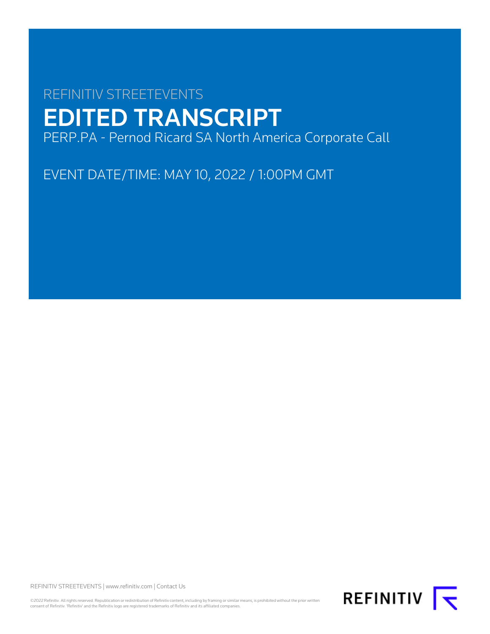# REFINITIV STREETEVENTS EDITED TRANSCRIPT PERP.PA - Pernod Ricard SA North America Corporate Call

EVENT DATE/TIME: MAY 10, 2022 / 1:00PM GMT

REFINITIV STREETEVENTS | [www.refinitiv.com](https://www.refinitiv.com/) | [Contact Us](https://www.refinitiv.com/en/contact-us)

©2022 Refinitiv. All rights reserved. Republication or redistribution of Refinitiv content, including by framing or similar means, is prohibited without the prior written<br>consent of Refinitiv. 'Refinitiv' and the Refinitiv

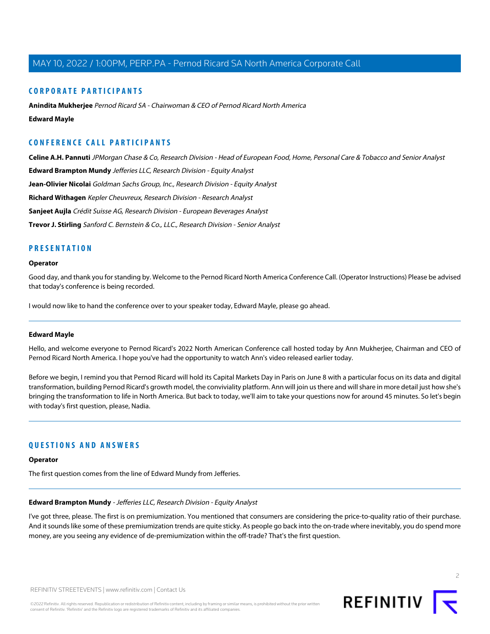#### **CORPORATE PARTICIPANTS**

**[Anindita Mukherjee](#page-2-0)** Pernod Ricard SA - Chairwoman & CEO of Pernod Ricard North America **[Edward Mayle](#page-1-0)**

## **CONFERENCE CALL PARTICIPANTS**

**[Celine A.H. Pannuti](#page-4-0)** JPMorgan Chase & Co, Research Division - Head of European Food, Home, Personal Care & Tobacco and Senior Analyst

**[Edward Brampton Mundy](#page-1-1)** Jefferies LLC, Research Division - Equity Analyst

**[Jean-Olivier Nicolai](#page-3-0)** Goldman Sachs Group, Inc., Research Division - Equity Analyst

**[Richard Withagen](#page-6-0)** Kepler Cheuvreux, Research Division - Research Analyst

**[Sanjeet Aujla](#page-5-0)** Crédit Suisse AG, Research Division - European Beverages Analyst

**[Trevor J. Stirling](#page-3-1)** Sanford C. Bernstein & Co., LLC., Research Division - Senior Analyst

#### **PRESENTATION**

#### **Operator**

Good day, and thank you for standing by. Welcome to the Pernod Ricard North America Conference Call. (Operator Instructions) Please be advised that today's conference is being recorded.

<span id="page-1-0"></span>I would now like to hand the conference over to your speaker today, Edward Mayle, please go ahead.

#### **Edward Mayle**

Hello, and welcome everyone to Pernod Ricard's 2022 North American Conference call hosted today by Ann Mukherjee, Chairman and CEO of Pernod Ricard North America. I hope you've had the opportunity to watch Ann's video released earlier today.

Before we begin, I remind you that Pernod Ricard will hold its Capital Markets Day in Paris on June 8 with a particular focus on its data and digital transformation, building Pernod Ricard's growth model, the conviviality platform. Ann will join us there and will share in more detail just how she's bringing the transformation to life in North America. But back to today, we'll aim to take your questions now for around 45 minutes. So let's begin with today's first question, please, Nadia.

### <span id="page-1-1"></span>**QUESTIONS AND ANSWERS**

#### **Operator**

The first question comes from the line of Edward Mundy from Jefferies.

#### **Edward Brampton Mundy** - Jefferies LLC, Research Division - Equity Analyst

I've got three, please. The first is on premiumization. You mentioned that consumers are considering the price-to-quality ratio of their purchase. And it sounds like some of these premiumization trends are quite sticky. As people go back into the on-trade where inevitably, you do spend more money, are you seeing any evidence of de-premiumization within the off-trade? That's the first question.

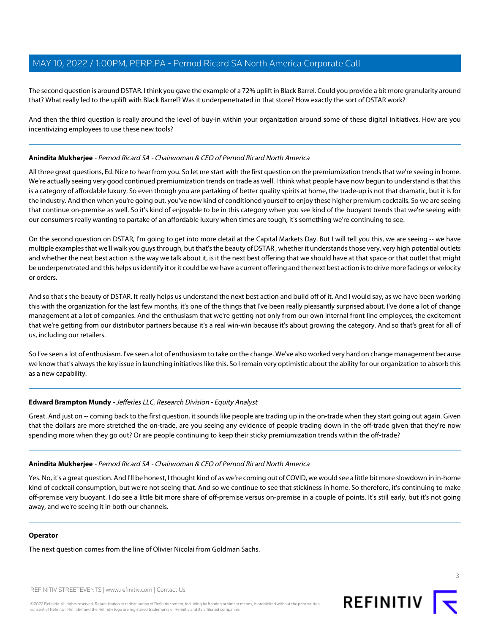The second question is around DSTAR. I think you gave the example of a 72% uplift in Black Barrel. Could you provide a bit more granularity around that? What really led to the uplift with Black Barrel? Was it underpenetrated in that store? How exactly the sort of DSTAR work?

And then the third question is really around the level of buy-in within your organization around some of these digital initiatives. How are you incentivizing employees to use these new tools?

#### <span id="page-2-0"></span>**Anindita Mukherjee** - Pernod Ricard SA - Chairwoman & CEO of Pernod Ricard North America

All three great questions, Ed. Nice to hear from you. So let me start with the first question on the premiumization trends that we're seeing in home. We're actually seeing very good continued premiumization trends on trade as well. I think what people have now begun to understand is that this is a category of affordable luxury. So even though you are partaking of better quality spirits at home, the trade-up is not that dramatic, but it is for the industry. And then when you're going out, you've now kind of conditioned yourself to enjoy these higher premium cocktails. So we are seeing that continue on-premise as well. So it's kind of enjoyable to be in this category when you see kind of the buoyant trends that we're seeing with our consumers really wanting to partake of an affordable luxury when times are tough, it's something we're continuing to see.

On the second question on DSTAR, I'm going to get into more detail at the Capital Markets Day. But I will tell you this, we are seeing -- we have multiple examples that we'll walk you guys through, but that's the beauty of DSTAR , whether it understands those very, very high potential outlets and whether the next best action is the way we talk about it, is it the next best offering that we should have at that space or that outlet that might be underpenetrated and this helps us identify it or it could be we have a current offering and the next best action is to drive more facings or velocity or orders.

And so that's the beauty of DSTAR. It really helps us understand the next best action and build off of it. And I would say, as we have been working this with the organization for the last few months, it's one of the things that I've been really pleasantly surprised about. I've done a lot of change management at a lot of companies. And the enthusiasm that we're getting not only from our own internal front line employees, the excitement that we're getting from our distributor partners because it's a real win-win because it's about growing the category. And so that's great for all of us, including our retailers.

So I've seen a lot of enthusiasm. I've seen a lot of enthusiasm to take on the change. We've also worked very hard on change management because we know that's always the key issue in launching initiatives like this. So I remain very optimistic about the ability for our organization to absorb this as a new capability.

#### **Edward Brampton Mundy** - Jefferies LLC, Research Division - Equity Analyst

Great. And just on -- coming back to the first question, it sounds like people are trading up in the on-trade when they start going out again. Given that the dollars are more stretched the on-trade, are you seeing any evidence of people trading down in the off-trade given that they're now spending more when they go out? Or are people continuing to keep their sticky premiumization trends within the off-trade?

#### **Anindita Mukherjee** - Pernod Ricard SA - Chairwoman & CEO of Pernod Ricard North America

Yes. No, it's a great question. And I'll be honest, I thought kind of as we're coming out of COVID, we would see a little bit more slowdown in in-home kind of cocktail consumption, but we're not seeing that. And so we continue to see that stickiness in home. So therefore, it's continuing to make off-premise very buoyant. I do see a little bit more share of off-premise versus on-premise in a couple of points. It's still early, but it's not going away, and we're seeing it in both our channels.

#### **Operator**

The next question comes from the line of Olivier Nicolai from Goldman Sachs.

REFINITIV STREETEVENTS | [www.refinitiv.com](https://www.refinitiv.com/) | [Contact Us](https://www.refinitiv.com/en/contact-us)



3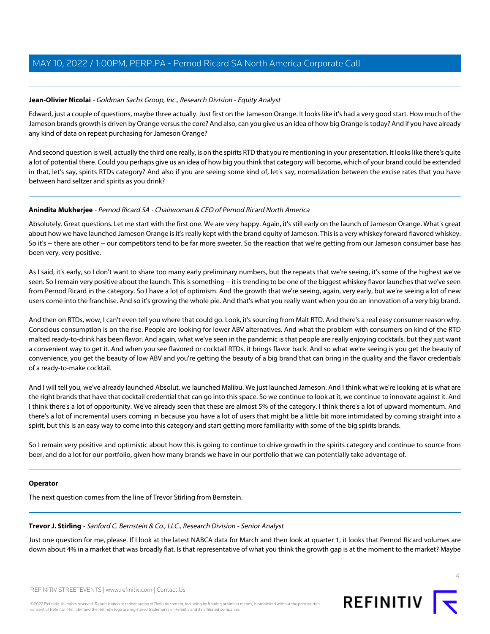#### <span id="page-3-0"></span>**Jean-Olivier Nicolai** - Goldman Sachs Group, Inc., Research Division - Equity Analyst

Edward, just a couple of questions, maybe three actually. Just first on the Jameson Orange. It looks like it's had a very good start. How much of the Jameson brands growth is driven by Orange versus the core? And also, can you give us an idea of how big Orange is today? And if you have already any kind of data on repeat purchasing for Jameson Orange?

And second question is well, actually the third one really, is on the spirits RTD that you're mentioning in your presentation. It looks like there's quite a lot of potential there. Could you perhaps give us an idea of how big you think that category will become, which of your brand could be extended in that, let's say, spirits RTDs category? And also if you are seeing some kind of, let's say, normalization between the excise rates that you have between hard seltzer and spirits as you drink?

#### **Anindita Mukherjee** - Pernod Ricard SA - Chairwoman & CEO of Pernod Ricard North America

Absolutely. Great questions. Let me start with the first one. We are very happy. Again, it's still early on the launch of Jameson Orange. What's great about how we have launched Jameson Orange is it's really kept with the brand equity of Jameson. This is a very whiskey forward flavored whiskey. So it's -- there are other -- our competitors tend to be far more sweeter. So the reaction that we're getting from our Jameson consumer base has been very, very positive.

As I said, it's early, so I don't want to share too many early preliminary numbers, but the repeats that we're seeing, it's some of the highest we've seen. So I remain very positive about the launch. This is something -- it is trending to be one of the biggest whiskey flavor launches that we've seen from Pernod Ricard in the category. So I have a lot of optimism. And the growth that we're seeing, again, very early, but we're seeing a lot of new users come into the franchise. And so it's growing the whole pie. And that's what you really want when you do an innovation of a very big brand.

And then on RTDs, wow, I can't even tell you where that could go. Look, it's sourcing from Malt RTD. And there's a real easy consumer reason why. Conscious consumption is on the rise. People are looking for lower ABV alternatives. And what the problem with consumers on kind of the RTD malted ready-to-drink has been flavor. And again, what we've seen in the pandemic is that people are really enjoying cocktails, but they just want a convenient way to get it. And when you see flavored or cocktail RTDs, it brings flavor back. And so what we're seeing is you get the beauty of convenience, you get the beauty of low ABV and you're getting the beauty of a big brand that can bring in the quality and the flavor credentials of a ready-to-make cocktail.

And I will tell you, we've already launched Absolut, we launched Malibu. We just launched Jameson. And I think what we're looking at is what are the right brands that have that cocktail credential that can go into this space. So we continue to look at it, we continue to innovate against it. And I think there's a lot of opportunity. We've already seen that these are almost 5% of the category. I think there's a lot of upward momentum. And there's a lot of incremental users coming in because you have a lot of users that might be a little bit more intimidated by coming straight into a spirit, but this is an easy way to come into this category and start getting more familiarity with some of the big spirits brands.

So I remain very positive and optimistic about how this is going to continue to drive growth in the spirits category and continue to source from beer, and do a lot for our portfolio, given how many brands we have in our portfolio that we can potentially take advantage of.

#### <span id="page-3-1"></span>**Operator**

The next question comes from the line of Trevor Stirling from Bernstein.

#### **Trevor J. Stirling** - Sanford C. Bernstein & Co., LLC., Research Division - Senior Analyst

Just one question for me, please. If I look at the latest NABCA data for March and then look at quarter 1, it looks that Pernod Ricard volumes are down about 4% in a market that was broadly flat. Is that representative of what you think the growth gap is at the moment to the market? Maybe

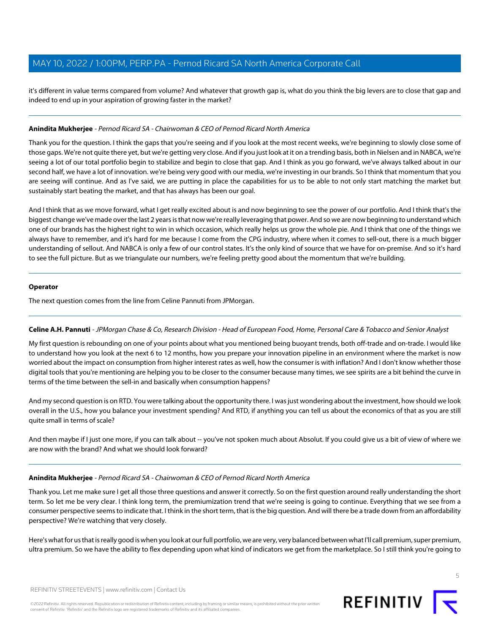it's different in value terms compared from volume? And whatever that growth gap is, what do you think the big levers are to close that gap and indeed to end up in your aspiration of growing faster in the market?

#### **Anindita Mukherjee** - Pernod Ricard SA - Chairwoman & CEO of Pernod Ricard North America

Thank you for the question. I think the gaps that you're seeing and if you look at the most recent weeks, we're beginning to slowly close some of those gaps. We're not quite there yet, but we're getting very close. And if you just look at it on a trending basis, both in Nielsen and in NABCA, we're seeing a lot of our total portfolio begin to stabilize and begin to close that gap. And I think as you go forward, we've always talked about in our second half, we have a lot of innovation. we're being very good with our media, we're investing in our brands. So I think that momentum that you are seeing will continue. And as I've said, we are putting in place the capabilities for us to be able to not only start matching the market but sustainably start beating the market, and that has always has been our goal.

And I think that as we move forward, what I get really excited about is and now beginning to see the power of our portfolio. And I think that's the biggest change we've made over the last 2 years is that now we're really leveraging that power. And so we are now beginning to understand which one of our brands has the highest right to win in which occasion, which really helps us grow the whole pie. And I think that one of the things we always have to remember, and it's hard for me because I come from the CPG industry, where when it comes to sell-out, there is a much bigger understanding of sellout. And NABCA is only a few of our control states. It's the only kind of source that we have for on-premise. And so it's hard to see the full picture. But as we triangulate our numbers, we're feeling pretty good about the momentum that we're building.

#### **Operator**

<span id="page-4-0"></span>The next question comes from the line from Celine Pannuti from JPMorgan.

#### **Celine A.H. Pannuti** - JPMorgan Chase & Co, Research Division - Head of European Food, Home, Personal Care & Tobacco and Senior Analyst

My first question is rebounding on one of your points about what you mentioned being buoyant trends, both off-trade and on-trade. I would like to understand how you look at the next 6 to 12 months, how you prepare your innovation pipeline in an environment where the market is now worried about the impact on consumption from higher interest rates as well, how the consumer is with inflation? And I don't know whether those digital tools that you're mentioning are helping you to be closer to the consumer because many times, we see spirits are a bit behind the curve in terms of the time between the sell-in and basically when consumption happens?

And my second question is on RTD. You were talking about the opportunity there. I was just wondering about the investment, how should we look overall in the U.S., how you balance your investment spending? And RTD, if anything you can tell us about the economics of that as you are still quite small in terms of scale?

And then maybe if I just one more, if you can talk about -- you've not spoken much about Absolut. If you could give us a bit of view of where we are now with the brand? And what we should look forward?

#### **Anindita Mukherjee** - Pernod Ricard SA - Chairwoman & CEO of Pernod Ricard North America

Thank you. Let me make sure I get all those three questions and answer it correctly. So on the first question around really understanding the short term. So let me be very clear. I think long term, the premiumization trend that we're seeing is going to continue. Everything that we see from a consumer perspective seems to indicate that. I think in the short term, that is the big question. And will there be a trade down from an affordability perspective? We're watching that very closely.

Here's what for us that is really good is when you look at our full portfolio, we are very, very balanced between what I'll call premium, super premium, ultra premium. So we have the ability to flex depending upon what kind of indicators we get from the marketplace. So I still think you're going to

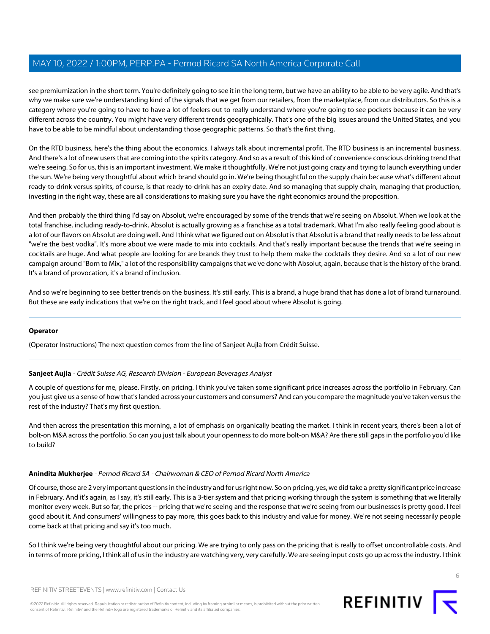see premiumization in the short term. You're definitely going to see it in the long term, but we have an ability to be able to be very agile. And that's why we make sure we're understanding kind of the signals that we get from our retailers, from the marketplace, from our distributors. So this is a category where you're going to have to have a lot of feelers out to really understand where you're going to see pockets because it can be very different across the country. You might have very different trends geographically. That's one of the big issues around the United States, and you have to be able to be mindful about understanding those geographic patterns. So that's the first thing.

On the RTD business, here's the thing about the economics. I always talk about incremental profit. The RTD business is an incremental business. And there's a lot of new users that are coming into the spirits category. And so as a result of this kind of convenience conscious drinking trend that we're seeing. So for us, this is an important investment. We make it thoughtfully. We're not just going crazy and trying to launch everything under the sun. We're being very thoughtful about which brand should go in. We're being thoughtful on the supply chain because what's different about ready-to-drink versus spirits, of course, is that ready-to-drink has an expiry date. And so managing that supply chain, managing that production, investing in the right way, these are all considerations to making sure you have the right economics around the proposition.

And then probably the third thing I'd say on Absolut, we're encouraged by some of the trends that we're seeing on Absolut. When we look at the total franchise, including ready-to-drink, Absolut is actually growing as a franchise as a total trademark. What I'm also really feeling good about is a lot of our flavors on Absolut are doing well. And I think what we figured out on Absolut is that Absolut is a brand that really needs to be less about "we're the best vodka". It's more about we were made to mix into cocktails. And that's really important because the trends that we're seeing in cocktails are huge. And what people are looking for are brands they trust to help them make the cocktails they desire. And so a lot of our new campaign around "Born to Mix," a lot of the responsibility campaigns that we've done with Absolut, again, because that is the history of the brand. It's a brand of provocation, it's a brand of inclusion.

And so we're beginning to see better trends on the business. It's still early. This is a brand, a huge brand that has done a lot of brand turnaround. But these are early indications that we're on the right track, and I feel good about where Absolut is going.

#### <span id="page-5-0"></span>**Operator**

(Operator Instructions) The next question comes from the line of Sanjeet Aujla from Crédit Suisse.

#### **Sanjeet Aujla** - Crédit Suisse AG, Research Division - European Beverages Analyst

A couple of questions for me, please. Firstly, on pricing. I think you've taken some significant price increases across the portfolio in February. Can you just give us a sense of how that's landed across your customers and consumers? And can you compare the magnitude you've taken versus the rest of the industry? That's my first question.

And then across the presentation this morning, a lot of emphasis on organically beating the market. I think in recent years, there's been a lot of bolt-on M&A across the portfolio. So can you just talk about your openness to do more bolt-on M&A? Are there still gaps in the portfolio you'd like to build?

#### **Anindita Mukherjee** - Pernod Ricard SA - Chairwoman & CEO of Pernod Ricard North America

Of course, those are 2 very important questions in the industry and for us right now. So on pricing, yes, we did take a pretty significant price increase in February. And it's again, as I say, it's still early. This is a 3-tier system and that pricing working through the system is something that we literally monitor every week. But so far, the prices -- pricing that we're seeing and the response that we're seeing from our businesses is pretty good. I feel good about it. And consumers' willingness to pay more, this goes back to this industry and value for money. We're not seeing necessarily people come back at that pricing and say it's too much.

So I think we're being very thoughtful about our pricing. We are trying to only pass on the pricing that is really to offset uncontrollable costs. And in terms of more pricing, I think all of us in the industry are watching very, very carefully. We are seeing input costs go up across the industry. I think

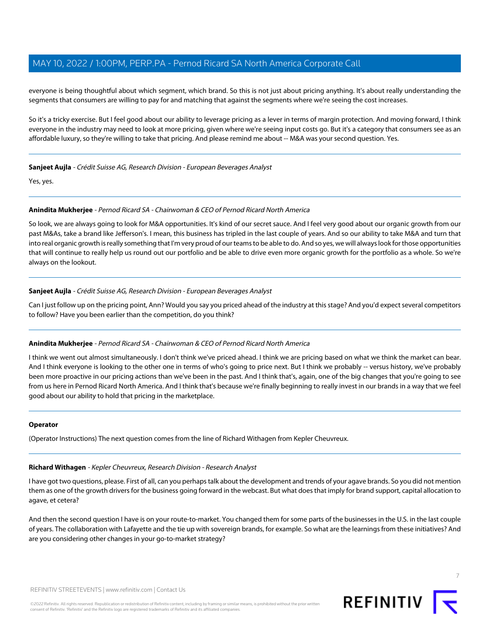everyone is being thoughtful about which segment, which brand. So this is not just about pricing anything. It's about really understanding the segments that consumers are willing to pay for and matching that against the segments where we're seeing the cost increases.

So it's a tricky exercise. But I feel good about our ability to leverage pricing as a lever in terms of margin protection. And moving forward, I think everyone in the industry may need to look at more pricing, given where we're seeing input costs go. But it's a category that consumers see as an affordable luxury, so they're willing to take that pricing. And please remind me about -- M&A was your second question. Yes.

#### **Sanjeet Aujla** - Crédit Suisse AG, Research Division - European Beverages Analyst

Yes, yes.

#### **Anindita Mukherjee** - Pernod Ricard SA - Chairwoman & CEO of Pernod Ricard North America

So look, we are always going to look for M&A opportunities. It's kind of our secret sauce. And I feel very good about our organic growth from our past M&As, take a brand like Jefferson's. I mean, this business has tripled in the last couple of years. And so our ability to take M&A and turn that into real organic growth is really something that I'm very proud of our teams to be able to do. And so yes, we will always look for those opportunities that will continue to really help us round out our portfolio and be able to drive even more organic growth for the portfolio as a whole. So we're always on the lookout.

#### **Sanjeet Aujla** - Crédit Suisse AG, Research Division - European Beverages Analyst

Can I just follow up on the pricing point, Ann? Would you say you priced ahead of the industry at this stage? And you'd expect several competitors to follow? Have you been earlier than the competition, do you think?

#### **Anindita Mukherjee** - Pernod Ricard SA - Chairwoman & CEO of Pernod Ricard North America

I think we went out almost simultaneously. I don't think we've priced ahead. I think we are pricing based on what we think the market can bear. And I think everyone is looking to the other one in terms of who's going to price next. But I think we probably -- versus history, we've probably been more proactive in our pricing actions than we've been in the past. And I think that's, again, one of the big changes that you're going to see from us here in Pernod Ricard North America. And I think that's because we're finally beginning to really invest in our brands in a way that we feel good about our ability to hold that pricing in the marketplace.

#### <span id="page-6-0"></span>**Operator**

(Operator Instructions) The next question comes from the line of Richard Withagen from Kepler Cheuvreux.

#### **Richard Withagen** - Kepler Cheuvreux, Research Division - Research Analyst

I have got two questions, please. First of all, can you perhaps talk about the development and trends of your agave brands. So you did not mention them as one of the growth drivers for the business going forward in the webcast. But what does that imply for brand support, capital allocation to agave, et cetera?

And then the second question I have is on your route-to-market. You changed them for some parts of the businesses in the U.S. in the last couple of years. The collaboration with Lafayette and the tie up with sovereign brands, for example. So what are the learnings from these initiatives? And are you considering other changes in your go-to-market strategy?



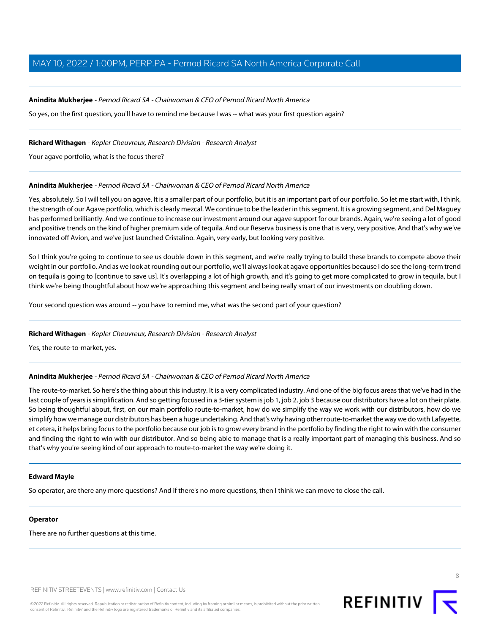#### **Anindita Mukherjee** - Pernod Ricard SA - Chairwoman & CEO of Pernod Ricard North America

So yes, on the first question, you'll have to remind me because I was -- what was your first question again?

#### **Richard Withagen** - Kepler Cheuvreux, Research Division - Research Analyst

Your agave portfolio, what is the focus there?

#### **Anindita Mukherjee** - Pernod Ricard SA - Chairwoman & CEO of Pernod Ricard North America

Yes, absolutely. So I will tell you on agave. It is a smaller part of our portfolio, but it is an important part of our portfolio. So let me start with, I think, the strength of our Agave portfolio, which is clearly mezcal. We continue to be the leader in this segment. It is a growing segment, and Del Maguey has performed brilliantly. And we continue to increase our investment around our agave support for our brands. Again, we're seeing a lot of good and positive trends on the kind of higher premium side of tequila. And our Reserva business is one that is very, very positive. And that's why we've innovated off Avion, and we've just launched Cristalino. Again, very early, but looking very positive.

So I think you're going to continue to see us double down in this segment, and we're really trying to build these brands to compete above their weight in our portfolio. And as we look at rounding out our portfolio, we'll always look at agave opportunities because I do see the long-term trend on tequila is going to [continue to save us]. It's overlapping a lot of high growth, and it's going to get more complicated to grow in tequila, but I think we're being thoughtful about how we're approaching this segment and being really smart of our investments on doubling down.

Your second question was around -- you have to remind me, what was the second part of your question?

#### **Richard Withagen** - Kepler Cheuvreux, Research Division - Research Analyst

Yes, the route-to-market, yes.

#### **Anindita Mukherjee** - Pernod Ricard SA - Chairwoman & CEO of Pernod Ricard North America

The route-to-market. So here's the thing about this industry. It is a very complicated industry. And one of the big focus areas that we've had in the last couple of years is simplification. And so getting focused in a 3-tier system is job 1, job 2, job 3 because our distributors have a lot on their plate. So being thoughtful about, first, on our main portfolio route-to-market, how do we simplify the way we work with our distributors, how do we simplify how we manage our distributors has been a huge undertaking. And that's why having other route-to-market the way we do with Lafayette, et cetera, it helps bring focus to the portfolio because our job is to grow every brand in the portfolio by finding the right to win with the consumer and finding the right to win with our distributor. And so being able to manage that is a really important part of managing this business. And so that's why you're seeing kind of our approach to route-to-market the way we're doing it.

#### **Edward Mayle**

So operator, are there any more questions? And if there's no more questions, then I think we can move to close the call.

### **Operator**

There are no further questions at this time.

REFINITIV STREETEVENTS | [www.refinitiv.com](https://www.refinitiv.com/) | [Contact Us](https://www.refinitiv.com/en/contact-us)